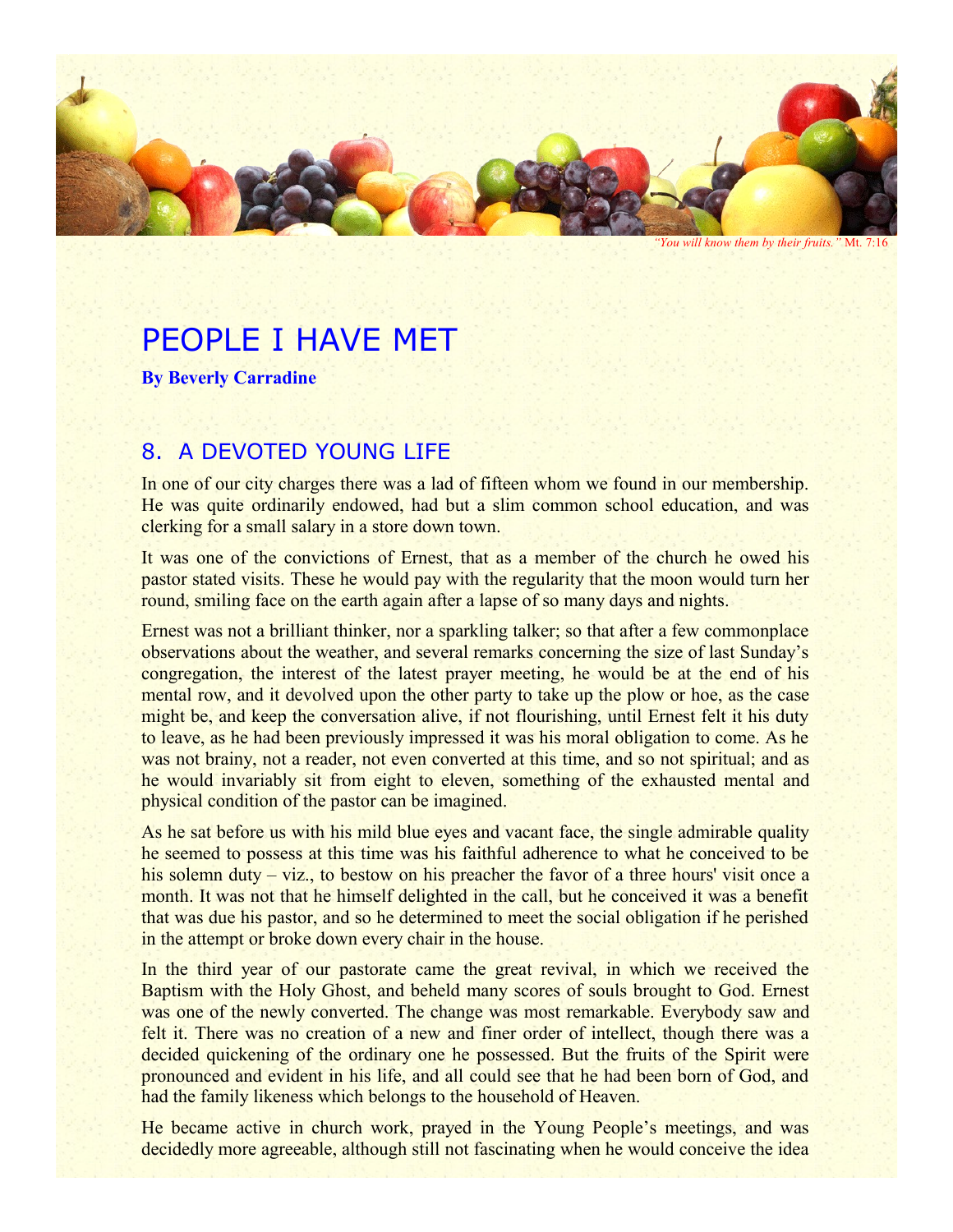

*"You will know them by their fruits."* Mt. 7:16

# PEOPLE I HAVE MET

**By Beverly Carradine**

## 8. A DEVOTED YOUNG LIFE

In one of our city charges there was a lad of fifteen whom we found in our membership. He was quite ordinarily endowed, had but a slim common school education, and was clerking for a small salary in a store down town.

It was one of the convictions of Ernest, that as a member of the church he owed his pastor stated visits. These he would pay with the regularity that the moon would turn her round, smiling face on the earth again after a lapse of so many days and nights.

Ernest was not a brilliant thinker, nor a sparkling talker; so that after a few commonplace observations about the weather, and several remarks concerning the size of last Sunday's congregation, the interest of the latest prayer meeting, he would be at the end of his mental row, and it devolved upon the other party to take up the plow or hoe, as the case might be, and keep the conversation alive, if not flourishing, until Ernest felt it his duty to leave, as he had been previously impressed it was his moral obligation to come. As he was not brainy, not a reader, not even converted at this time, and so not spiritual; and as he would invariably sit from eight to eleven, something of the exhausted mental and physical condition of the pastor can be imagined.

As he sat before us with his mild blue eyes and vacant face, the single admirable quality he seemed to possess at this time was his faithful adherence to what he conceived to be his solemn duty – viz., to bestow on his preacher the favor of a three hours' visit once a month. It was not that he himself delighted in the call, but he conceived it was a benefit that was due his pastor, and so he determined to meet the social obligation if he perished in the attempt or broke down every chair in the house.

In the third year of our pastorate came the great revival, in which we received the Baptism with the Holy Ghost, and beheld many scores of souls brought to God. Ernest was one of the newly converted. The change was most remarkable. Everybody saw and felt it. There was no creation of a new and finer order of intellect, though there was a decided quickening of the ordinary one he possessed. But the fruits of the Spirit were pronounced and evident in his life, and all could see that he had been born of God, and had the family likeness which belongs to the household of Heaven.

He became active in church work, prayed in the Young People's meetings, and was decidedly more agreeable, although still not fascinating when he would conceive the idea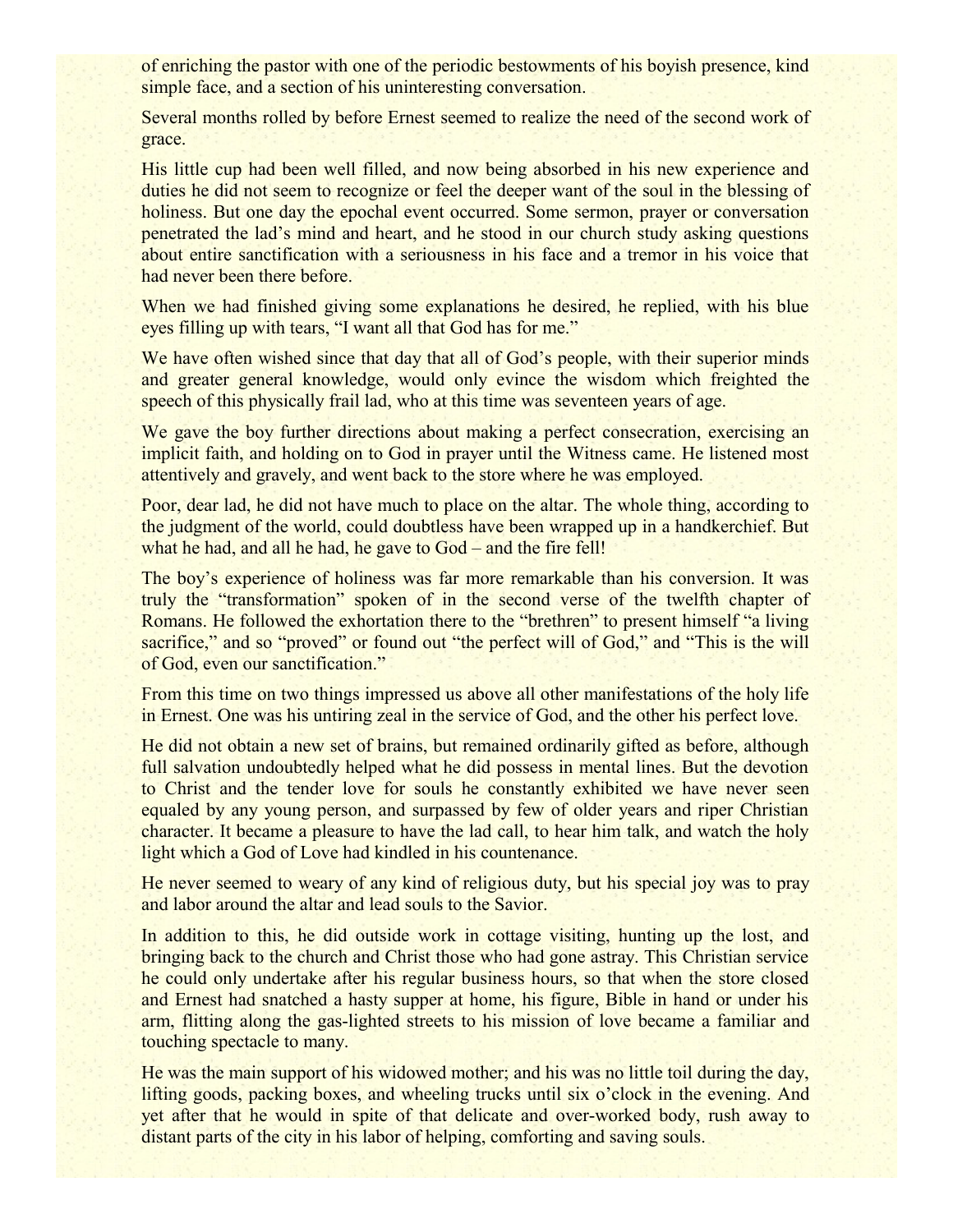of enriching the pastor with one of the periodic bestowments of his boyish presence, kind simple face, and a section of his uninteresting conversation.

Several months rolled by before Ernest seemed to realize the need of the second work of grace.

His little cup had been well filled, and now being absorbed in his new experience and duties he did not seem to recognize or feel the deeper want of the soul in the blessing of holiness. But one day the epochal event occurred. Some sermon, prayer or conversation penetrated the lad's mind and heart, and he stood in our church study asking questions about entire sanctification with a seriousness in his face and a tremor in his voice that had never been there before.

When we had finished giving some explanations he desired, he replied, with his blue eyes filling up with tears, "I want all that God has for me."

We have often wished since that day that all of God's people, with their superior minds and greater general knowledge, would only evince the wisdom which freighted the speech of this physically frail lad, who at this time was seventeen years of age.

We gave the boy further directions about making a perfect consecration, exercising an implicit faith, and holding on to God in prayer until the Witness came. He listened most attentively and gravely, and went back to the store where he was employed.

Poor, dear lad, he did not have much to place on the altar. The whole thing, according to the judgment of the world, could doubtless have been wrapped up in a handkerchief. But what he had, and all he had, he gave to God – and the fire fell!

The boy's experience of holiness was far more remarkable than his conversion. It was truly the "transformation" spoken of in the second verse of the twelfth chapter of Romans. He followed the exhortation there to the "brethren" to present himself "a living sacrifice," and so "proved" or found out "the perfect will of God," and "This is the will of God, even our sanctification."

From this time on two things impressed us above all other manifestations of the holy life in Ernest. One was his untiring zeal in the service of God, and the other his perfect love.

He did not obtain a new set of brains, but remained ordinarily gifted as before, although full salvation undoubtedly helped what he did possess in mental lines. But the devotion to Christ and the tender love for souls he constantly exhibited we have never seen equaled by any young person, and surpassed by few of older years and riper Christian character. It became a pleasure to have the lad call, to hear him talk, and watch the holy light which a God of Love had kindled in his countenance.

He never seemed to weary of any kind of religious duty, but his special joy was to pray and labor around the altar and lead souls to the Savior.

In addition to this, he did outside work in cottage visiting, hunting up the lost, and bringing back to the church and Christ those who had gone astray. This Christian service he could only undertake after his regular business hours, so that when the store closed and Ernest had snatched a hasty supper at home, his figure, Bible in hand or under his arm, flitting along the gas-lighted streets to his mission of love became a familiar and touching spectacle to many.

He was the main support of his widowed mother; and his was no little toil during the day, lifting goods, packing boxes, and wheeling trucks until six o'clock in the evening. And yet after that he would in spite of that delicate and over-worked body, rush away to distant parts of the city in his labor of helping, comforting and saving souls.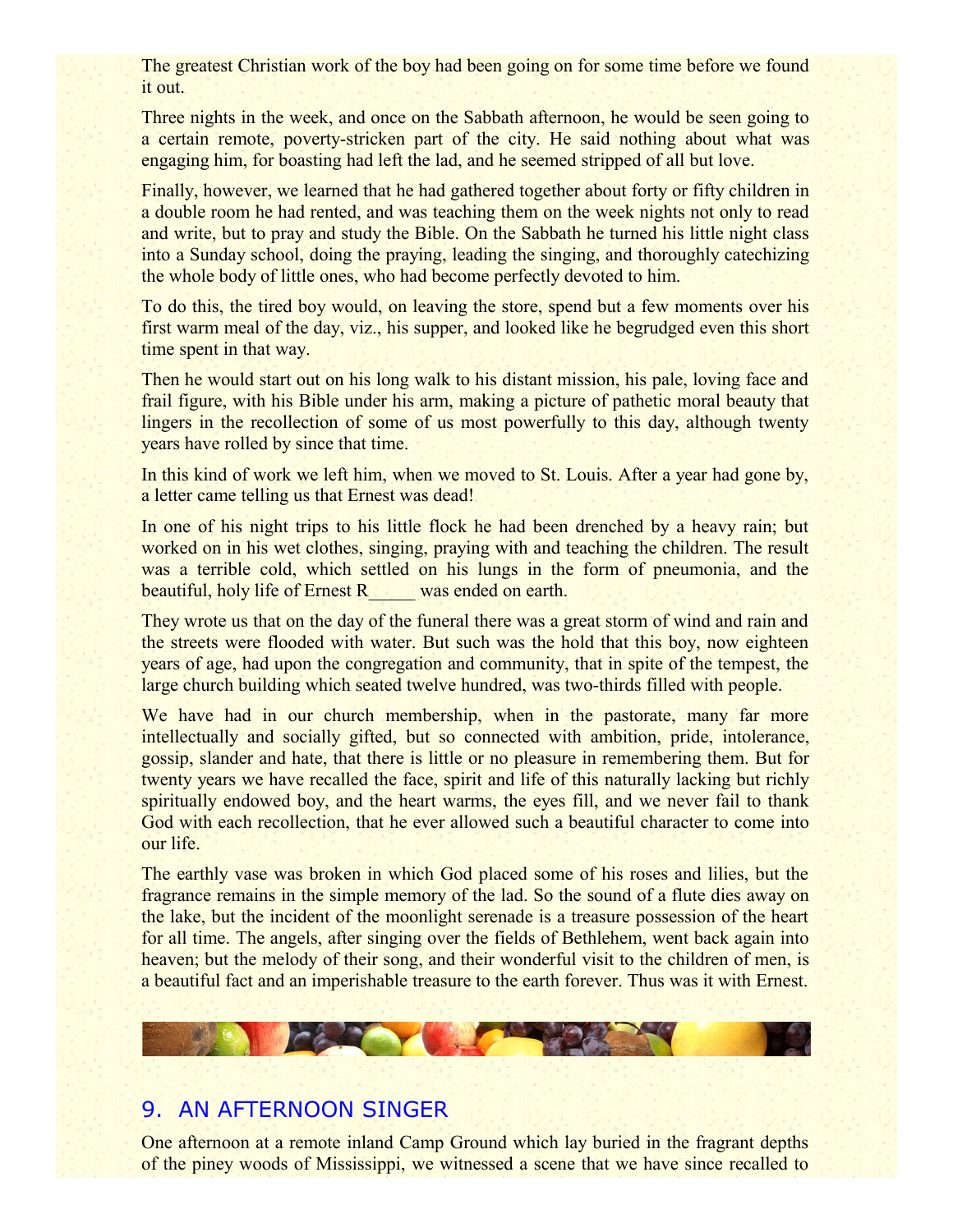The greatest Christian work of the boy had been going on for some time before we found it out.

Three nights in the week, and once on the Sabbath afternoon, he would be seen going to a certain remote, poverty-stricken part of the city. He said nothing about what was engaging him, for boasting had left the lad, and he seemed stripped of all but love.

Finally, however, we learned that he had gathered together about forty or fifty children in a double room he had rented, and was teaching them on the week nights not only to read and write, but to pray and study the Bible. On the Sabbath he turned his little night class into a Sunday school, doing the praying, leading the singing, and thoroughly catechizing the whole body of little ones, who had become perfectly devoted to him.

To do this, the tired boy would, on leaving the store, spend but a few moments over his first warm meal of the day, viz., his supper, and looked like he begrudged even this short time spent in that way.

Then he would start out on his long walk to his distant mission, his pale, loving face and frail figure, with his Bible under his arm, making a picture of pathetic moral beauty that lingers in the recollection of some of us most powerfully to this day, although twenty years have rolled by since that time.

In this kind of work we left him, when we moved to St. Louis. After a year had gone by, a letter came telling us that Ernest was dead!

In one of his night trips to his little flock he had been drenched by a heavy rain; but worked on in his wet clothes, singing, praying with and teaching the children. The result was a terrible cold, which settled on his lungs in the form of pneumonia, and the beautiful, holy life of Ernest R\_\_\_\_\_ was ended on earth.

They wrote us that on the day of the funeral there was a great storm of wind and rain and the streets were flooded with water. But such was the hold that this boy, now eighteen years of age, had upon the congregation and community, that in spite of the tempest, the large church building which seated twelve hundred, was two-thirds filled with people.

We have had in our church membership, when in the pastorate, many far more intellectually and socially gifted, but so connected with ambition, pride, intolerance, gossip, slander and hate, that there is little or no pleasure in remembering them. But for twenty years we have recalled the face, spirit and life of this naturally lacking but richly spiritually endowed boy, and the heart warms, the eyes fill, and we never fail to thank God with each recollection, that he ever allowed such a beautiful character to come into our life.

The earthly vase was broken in which God placed some of his roses and lilies, but the fragrance remains in the simple memory of the lad. So the sound of a flute dies away on the lake, but the incident of the moonlight serenade is a treasure possession of the heart for all time. The angels, after singing over the fields of Bethlehem, went back again into heaven; but the melody of their song, and their wonderful visit to the children of men, is a beautiful fact and an imperishable treasure to the earth forever. Thus was it with Ernest.

WA 27

#### 9. AN AFTERNOON SINGER

**CARDY** 

One afternoon at a remote inland Camp Ground which lay buried in the fragrant depths of the piney woods of Mississippi, we witnessed a scene that we have since recalled to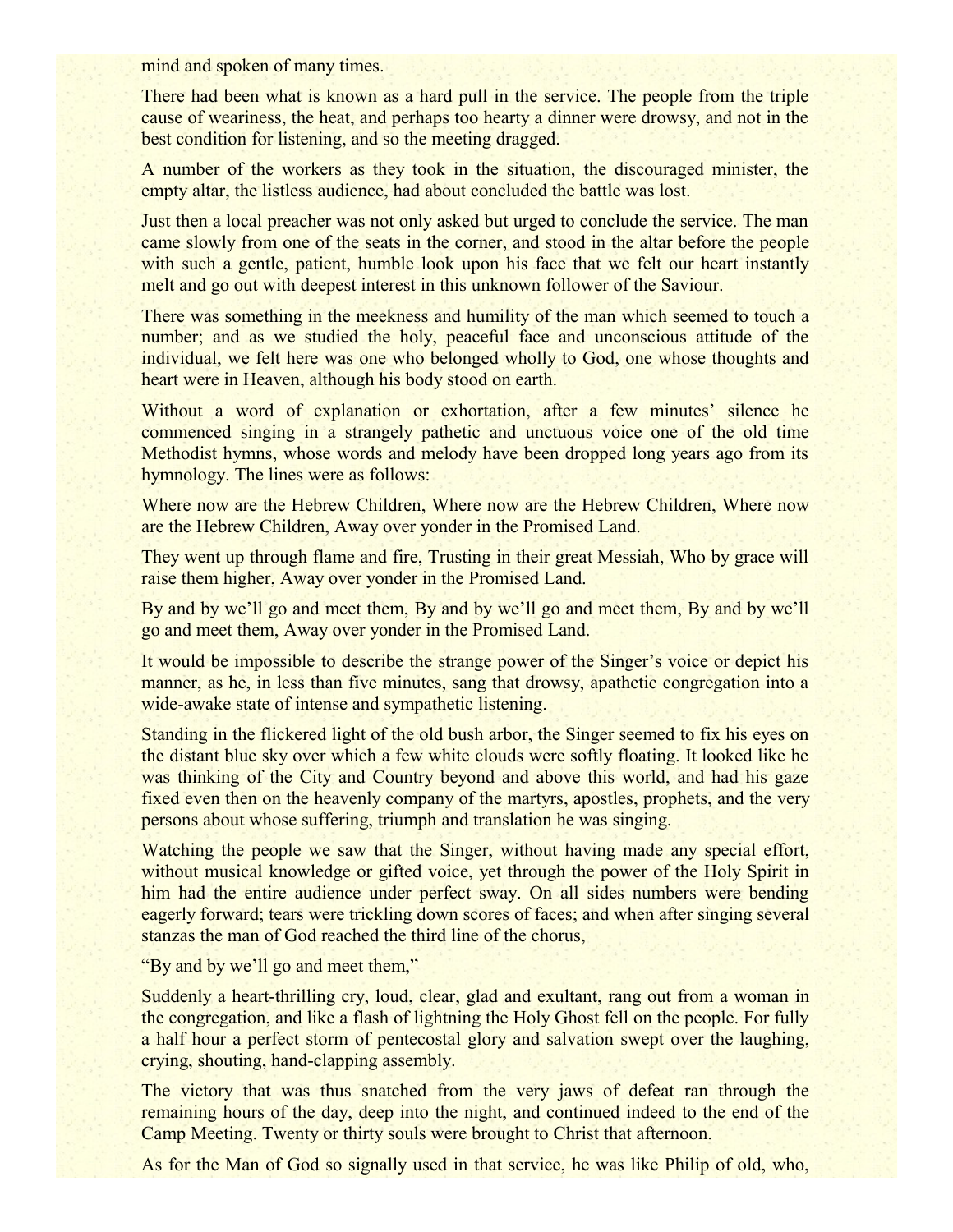mind and spoken of many times.

There had been what is known as a hard pull in the service. The people from the triple cause of weariness, the heat, and perhaps too hearty a dinner were drowsy, and not in the best condition for listening, and so the meeting dragged.

A number of the workers as they took in the situation, the discouraged minister, the empty altar, the listless audience, had about concluded the battle was lost.

Just then a local preacher was not only asked but urged to conclude the service. The man came slowly from one of the seats in the corner, and stood in the altar before the people with such a gentle, patient, humble look upon his face that we felt our heart instantly melt and go out with deepest interest in this unknown follower of the Saviour.

There was something in the meekness and humility of the man which seemed to touch a number; and as we studied the holy, peaceful face and unconscious attitude of the individual, we felt here was one who belonged wholly to God, one whose thoughts and heart were in Heaven, although his body stood on earth.

Without a word of explanation or exhortation, after a few minutes' silence he commenced singing in a strangely pathetic and unctuous voice one of the old time Methodist hymns, whose words and melody have been dropped long years ago from its hymnology. The lines were as follows:

Where now are the Hebrew Children, Where now are the Hebrew Children, Where now are the Hebrew Children, Away over yonder in the Promised Land.

They went up through flame and fire, Trusting in their great Messiah, Who by grace will raise them higher, Away over yonder in the Promised Land.

By and by we'll go and meet them, By and by we'll go and meet them, By and by we'll go and meet them, Away over yonder in the Promised Land.

It would be impossible to describe the strange power of the Singer's voice or depict his manner, as he, in less than five minutes, sang that drowsy, apathetic congregation into a wide-awake state of intense and sympathetic listening.

Standing in the flickered light of the old bush arbor, the Singer seemed to fix his eyes on the distant blue sky over which a few white clouds were softly floating. It looked like he was thinking of the City and Country beyond and above this world, and had his gaze fixed even then on the heavenly company of the martyrs, apostles, prophets, and the very persons about whose suffering, triumph and translation he was singing.

Watching the people we saw that the Singer, without having made any special effort, without musical knowledge or gifted voice, yet through the power of the Holy Spirit in him had the entire audience under perfect sway. On all sides numbers were bending eagerly forward; tears were trickling down scores of faces; and when after singing several stanzas the man of God reached the third line of the chorus,

"By and by we'll go and meet them,"

Suddenly a heart-thrilling cry, loud, clear, glad and exultant, rang out from a woman in the congregation, and like a flash of lightning the Holy Ghost fell on the people. For fully a half hour a perfect storm of pentecostal glory and salvation swept over the laughing, crying, shouting, hand-clapping assembly.

The victory that was thus snatched from the very jaws of defeat ran through the remaining hours of the day, deep into the night, and continued indeed to the end of the Camp Meeting. Twenty or thirty souls were brought to Christ that afternoon.

As for the Man of God so signally used in that service, he was like Philip of old, who,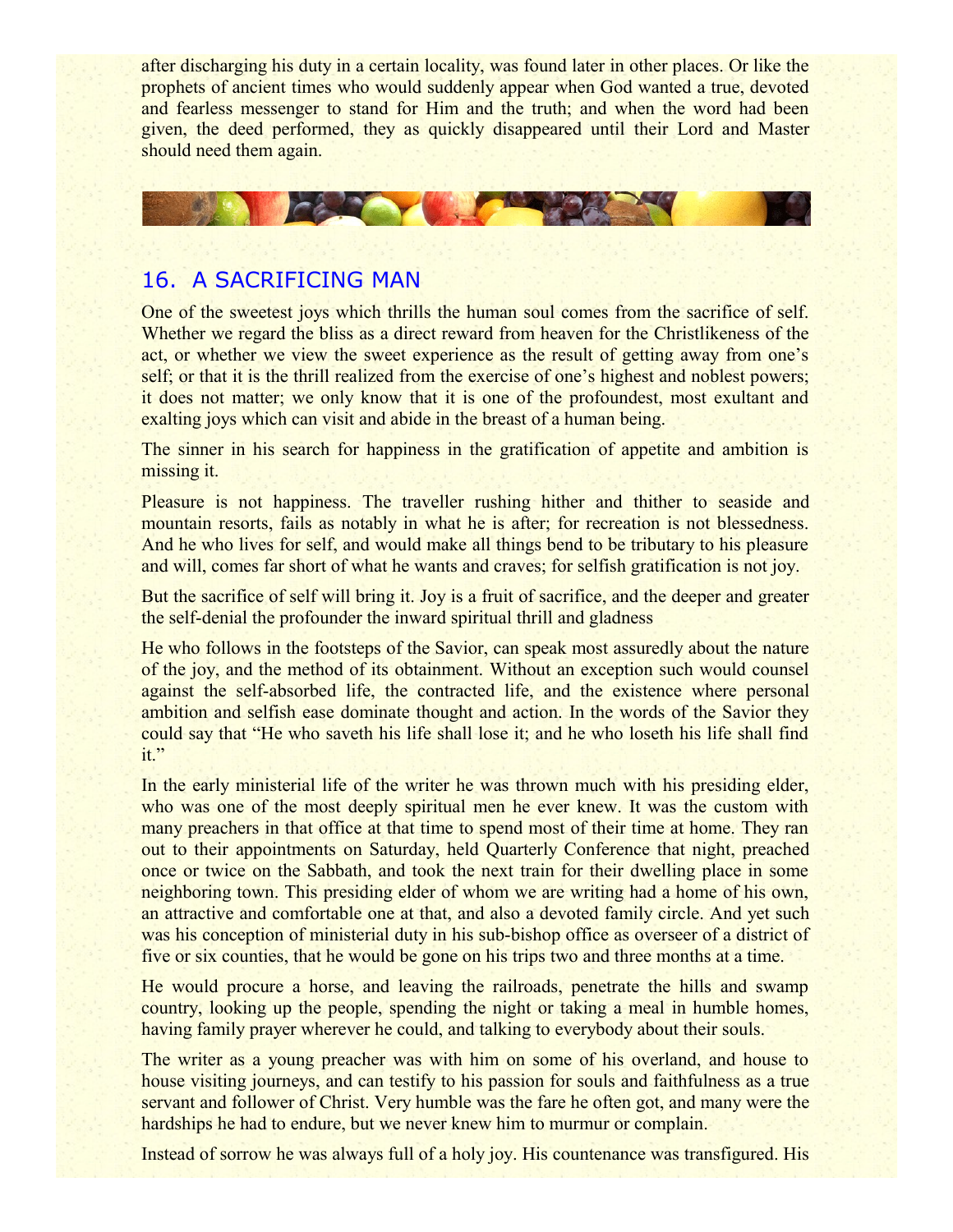after discharging his duty in a certain locality, was found later in other places. Or like the prophets of ancient times who would suddenly appear when God wanted a true, devoted and fearless messenger to stand for Him and the truth; and when the word had been given, the deed performed, they as quickly disappeared until their Lord and Master should need them again.



## 16. A SACRIFICING MAN

One of the sweetest joys which thrills the human soul comes from the sacrifice of self. Whether we regard the bliss as a direct reward from heaven for the Christlikeness of the act, or whether we view the sweet experience as the result of getting away from one's self; or that it is the thrill realized from the exercise of one's highest and noblest powers; it does not matter; we only know that it is one of the profoundest, most exultant and exalting joys which can visit and abide in the breast of a human being.

The sinner in his search for happiness in the gratification of appetite and ambition is missing it.

Pleasure is not happiness. The traveller rushing hither and thither to seaside and mountain resorts, fails as notably in what he is after; for recreation is not blessedness. And he who lives for self, and would make all things bend to be tributary to his pleasure and will, comes far short of what he wants and craves; for selfish gratification is not joy.

But the sacrifice of self will bring it. Joy is a fruit of sacrifice, and the deeper and greater the self-denial the profounder the inward spiritual thrill and gladness

He who follows in the footsteps of the Savior, can speak most assuredly about the nature of the joy, and the method of its obtainment. Without an exception such would counsel against the self-absorbed life, the contracted life, and the existence where personal ambition and selfish ease dominate thought and action. In the words of the Savior they could say that "He who saveth his life shall lose it; and he who loseth his life shall find it."

In the early ministerial life of the writer he was thrown much with his presiding elder, who was one of the most deeply spiritual men he ever knew. It was the custom with many preachers in that office at that time to spend most of their time at home. They ran out to their appointments on Saturday, held Quarterly Conference that night, preached once or twice on the Sabbath, and took the next train for their dwelling place in some neighboring town. This presiding elder of whom we are writing had a home of his own, an attractive and comfortable one at that, and also a devoted family circle. And yet such was his conception of ministerial duty in his sub-bishop office as overseer of a district of five or six counties, that he would be gone on his trips two and three months at a time.

He would procure a horse, and leaving the railroads, penetrate the hills and swamp country, looking up the people, spending the night or taking a meal in humble homes, having family prayer wherever he could, and talking to everybody about their souls.

The writer as a young preacher was with him on some of his overland, and house to house visiting journeys, and can testify to his passion for souls and faithfulness as a true servant and follower of Christ. Very humble was the fare he often got, and many were the hardships he had to endure, but we never knew him to murmur or complain.

Instead of sorrow he was always full of a holy joy. His countenance was transfigured. His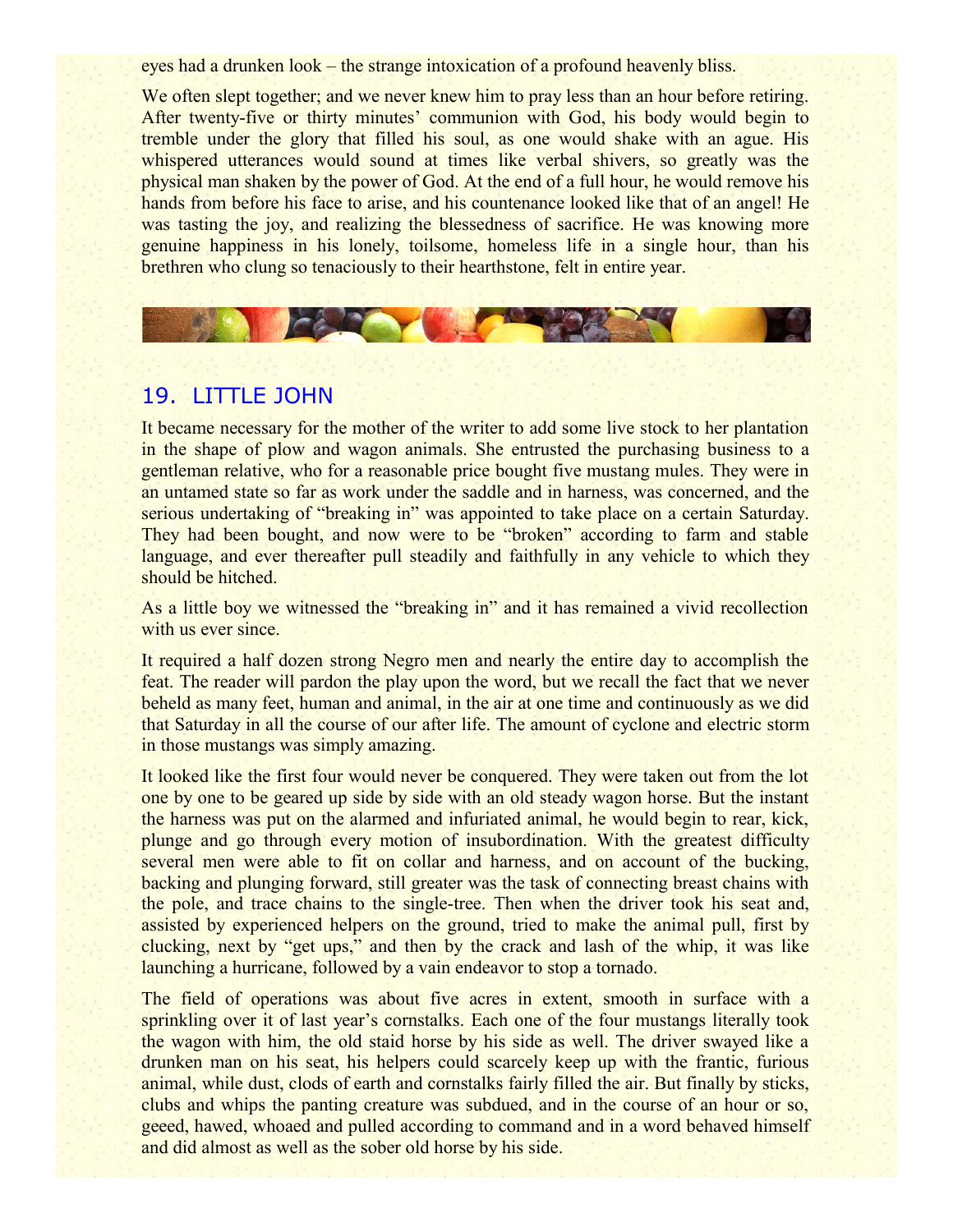eyes had a drunken look – the strange intoxication of a profound heavenly bliss.

We often slept together; and we never knew him to pray less than an hour before retiring. After twenty-five or thirty minutes' communion with God, his body would begin to tremble under the glory that filled his soul, as one would shake with an ague. His whispered utterances would sound at times like verbal shivers, so greatly was the physical man shaken by the power of God. At the end of a full hour, he would remove his hands from before his face to arise, and his countenance looked like that of an angel! He was tasting the joy, and realizing the blessedness of sacrifice. He was knowing more genuine happiness in his lonely, toilsome, homeless life in a single hour, than his brethren who clung so tenaciously to their hearthstone, felt in entire year.



### 19. LITTLE JOHN

It became necessary for the mother of the writer to add some live stock to her plantation in the shape of plow and wagon animals. She entrusted the purchasing business to a gentleman relative, who for a reasonable price bought five mustang mules. They were in an untamed state so far as work under the saddle and in harness, was concerned, and the serious undertaking of "breaking in" was appointed to take place on a certain Saturday. They had been bought, and now were to be "broken" according to farm and stable language, and ever thereafter pull steadily and faithfully in any vehicle to which they should be hitched.

As a little boy we witnessed the "breaking in" and it has remained a vivid recollection with us ever since.

It required a half dozen strong Negro men and nearly the entire day to accomplish the feat. The reader will pardon the play upon the word, but we recall the fact that we never beheld as many feet, human and animal, in the air at one time and continuously as we did that Saturday in all the course of our after life. The amount of cyclone and electric storm in those mustangs was simply amazing.

It looked like the first four would never be conquered. They were taken out from the lot one by one to be geared up side by side with an old steady wagon horse. But the instant the harness was put on the alarmed and infuriated animal, he would begin to rear, kick, plunge and go through every motion of insubordination. With the greatest difficulty several men were able to fit on collar and harness, and on account of the bucking, backing and plunging forward, still greater was the task of connecting breast chains with the pole, and trace chains to the single-tree. Then when the driver took his seat and, assisted by experienced helpers on the ground, tried to make the animal pull, first by clucking, next by "get ups," and then by the crack and lash of the whip, it was like launching a hurricane, followed by a vain endeavor to stop a tornado.

The field of operations was about five acres in extent, smooth in surface with a sprinkling over it of last year's cornstalks. Each one of the four mustangs literally took the wagon with him, the old staid horse by his side as well. The driver swayed like a drunken man on his seat, his helpers could scarcely keep up with the frantic, furious animal, while dust, clods of earth and cornstalks fairly filled the air. But finally by sticks, clubs and whips the panting creature was subdued, and in the course of an hour or so, geeed, hawed, whoaed and pulled according to command and in a word behaved himself and did almost as well as the sober old horse by his side.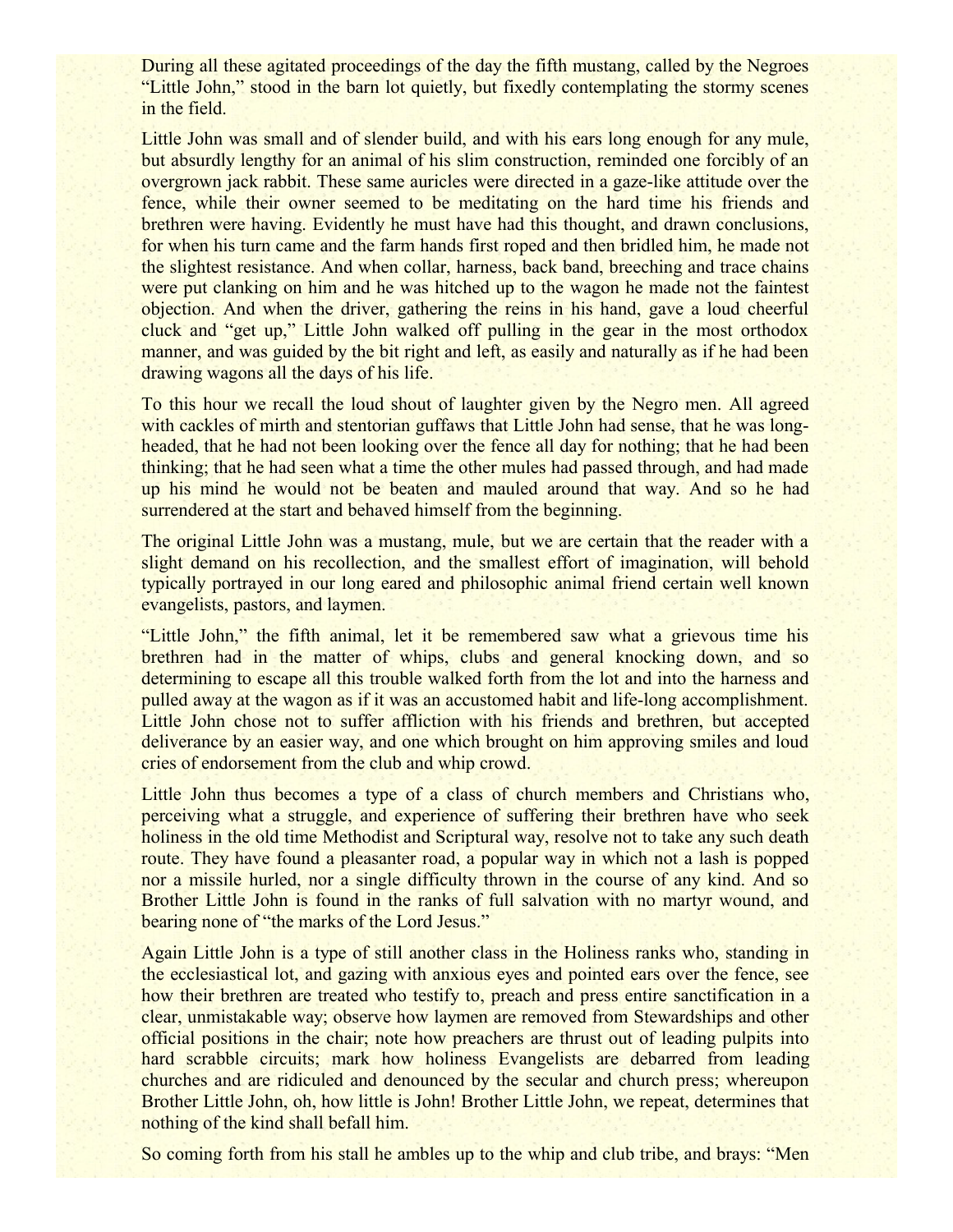During all these agitated proceedings of the day the fifth mustang, called by the Negroes "Little John," stood in the barn lot quietly, but fixedly contemplating the stormy scenes in the field.

Little John was small and of slender build, and with his ears long enough for any mule, but absurdly lengthy for an animal of his slim construction, reminded one forcibly of an overgrown jack rabbit. These same auricles were directed in a gaze-like attitude over the fence, while their owner seemed to be meditating on the hard time his friends and brethren were having. Evidently he must have had this thought, and drawn conclusions, for when his turn came and the farm hands first roped and then bridled him, he made not the slightest resistance. And when collar, harness, back band, breeching and trace chains were put clanking on him and he was hitched up to the wagon he made not the faintest objection. And when the driver, gathering the reins in his hand, gave a loud cheerful cluck and "get up," Little John walked off pulling in the gear in the most orthodox manner, and was guided by the bit right and left, as easily and naturally as if he had been drawing wagons all the days of his life.

To this hour we recall the loud shout of laughter given by the Negro men. All agreed with cackles of mirth and stentorian guffaws that Little John had sense, that he was longheaded, that he had not been looking over the fence all day for nothing; that he had been thinking; that he had seen what a time the other mules had passed through, and had made up his mind he would not be beaten and mauled around that way. And so he had surrendered at the start and behaved himself from the beginning.

The original Little John was a mustang, mule, but we are certain that the reader with a slight demand on his recollection, and the smallest effort of imagination, will behold typically portrayed in our long eared and philosophic animal friend certain well known evangelists, pastors, and laymen.

"Little John," the fifth animal, let it be remembered saw what a grievous time his brethren had in the matter of whips, clubs and general knocking down, and so determining to escape all this trouble walked forth from the lot and into the harness and pulled away at the wagon as if it was an accustomed habit and life-long accomplishment. Little John chose not to suffer affliction with his friends and brethren, but accepted deliverance by an easier way, and one which brought on him approving smiles and loud cries of endorsement from the club and whip crowd.

Little John thus becomes a type of a class of church members and Christians who, perceiving what a struggle, and experience of suffering their brethren have who seek holiness in the old time Methodist and Scriptural way, resolve not to take any such death route. They have found a pleasanter road, a popular way in which not a lash is popped nor a missile hurled, nor a single difficulty thrown in the course of any kind. And so Brother Little John is found in the ranks of full salvation with no martyr wound, and bearing none of "the marks of the Lord Jesus."

Again Little John is a type of still another class in the Holiness ranks who, standing in the ecclesiastical lot, and gazing with anxious eyes and pointed ears over the fence, see how their brethren are treated who testify to, preach and press entire sanctification in a clear, unmistakable way; observe how laymen are removed from Stewardships and other official positions in the chair; note how preachers are thrust out of leading pulpits into hard scrabble circuits; mark how holiness Evangelists are debarred from leading churches and are ridiculed and denounced by the secular and church press; whereupon Brother Little John, oh, how little is John! Brother Little John, we repeat, determines that nothing of the kind shall befall him.

So coming forth from his stall he ambles up to the whip and club tribe, and brays: "Men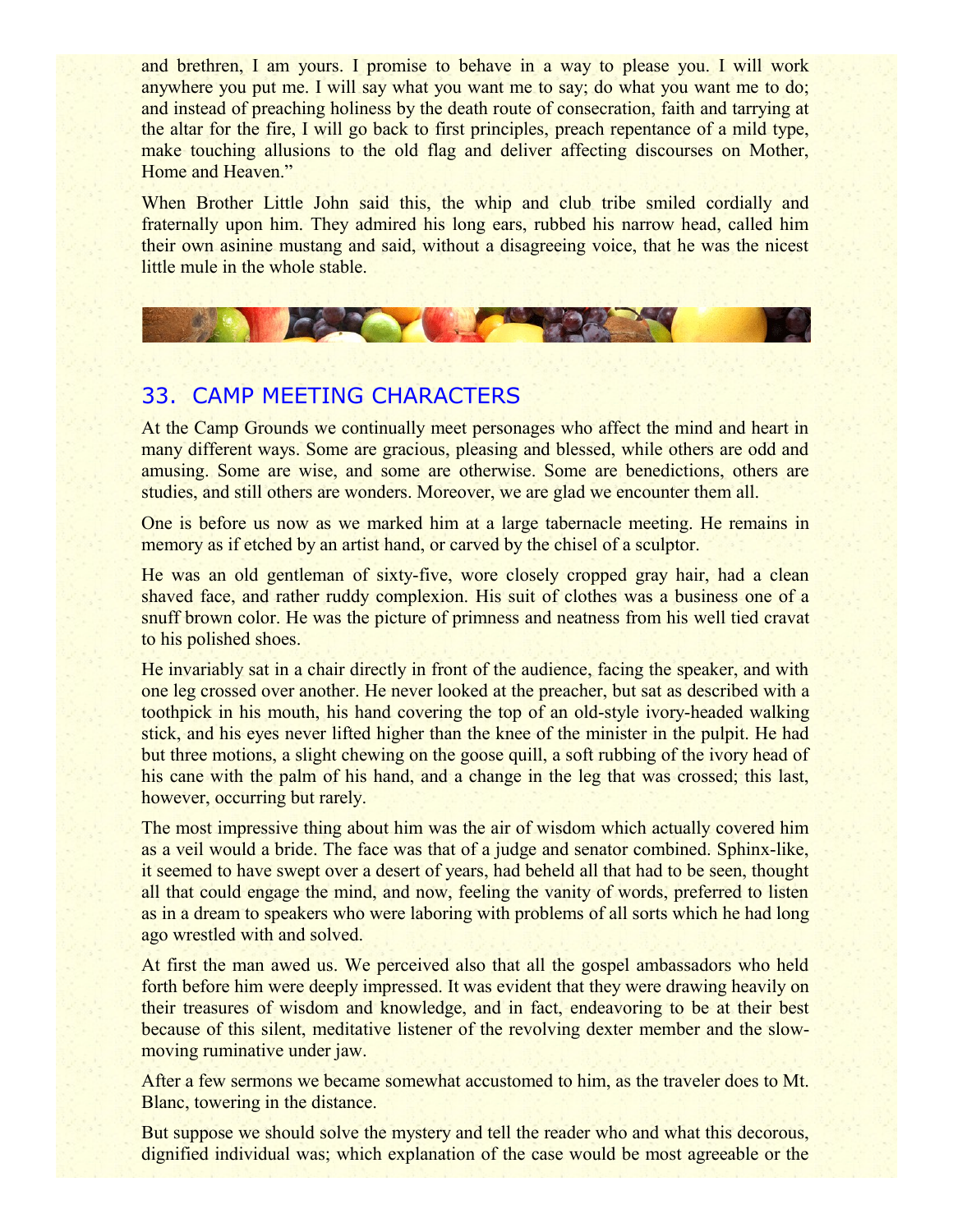and brethren, I am yours. I promise to behave in a way to please you. I will work anywhere you put me. I will say what you want me to say; do what you want me to do; and instead of preaching holiness by the death route of consecration, faith and tarrying at the altar for the fire, I will go back to first principles, preach repentance of a mild type, make touching allusions to the old flag and deliver affecting discourses on Mother, Home and Heaven."

When Brother Little John said this, the whip and club tribe smiled cordially and fraternally upon him. They admired his long ears, rubbed his narrow head, called him their own asinine mustang and said, without a disagreeing voice, that he was the nicest little mule in the whole stable.



# 33. CAMP MEETING CHARACTERS

At the Camp Grounds we continually meet personages who affect the mind and heart in many different ways. Some are gracious, pleasing and blessed, while others are odd and amusing. Some are wise, and some are otherwise. Some are benedictions, others are studies, and still others are wonders. Moreover, we are glad we encounter them all.

One is before us now as we marked him at a large tabernacle meeting. He remains in memory as if etched by an artist hand, or carved by the chisel of a sculptor.

He was an old gentleman of sixty-five, wore closely cropped gray hair, had a clean shaved face, and rather ruddy complexion. His suit of clothes was a business one of a snuff brown color. He was the picture of primness and neatness from his well tied cravat to his polished shoes.

He invariably sat in a chair directly in front of the audience, facing the speaker, and with one leg crossed over another. He never looked at the preacher, but sat as described with a toothpick in his mouth, his hand covering the top of an old-style ivory-headed walking stick, and his eyes never lifted higher than the knee of the minister in the pulpit. He had but three motions, a slight chewing on the goose quill, a soft rubbing of the ivory head of his cane with the palm of his hand, and a change in the leg that was crossed; this last, however, occurring but rarely.

The most impressive thing about him was the air of wisdom which actually covered him as a veil would a bride. The face was that of a judge and senator combined. Sphinx-like, it seemed to have swept over a desert of years, had beheld all that had to be seen, thought all that could engage the mind, and now, feeling the vanity of words, preferred to listen as in a dream to speakers who were laboring with problems of all sorts which he had long ago wrestled with and solved.

At first the man awed us. We perceived also that all the gospel ambassadors who held forth before him were deeply impressed. It was evident that they were drawing heavily on their treasures of wisdom and knowledge, and in fact, endeavoring to be at their best because of this silent, meditative listener of the revolving dexter member and the slowmoving ruminative under jaw.

After a few sermons we became somewhat accustomed to him, as the traveler does to Mt. Blanc, towering in the distance.

But suppose we should solve the mystery and tell the reader who and what this decorous, dignified individual was; which explanation of the case would be most agreeable or the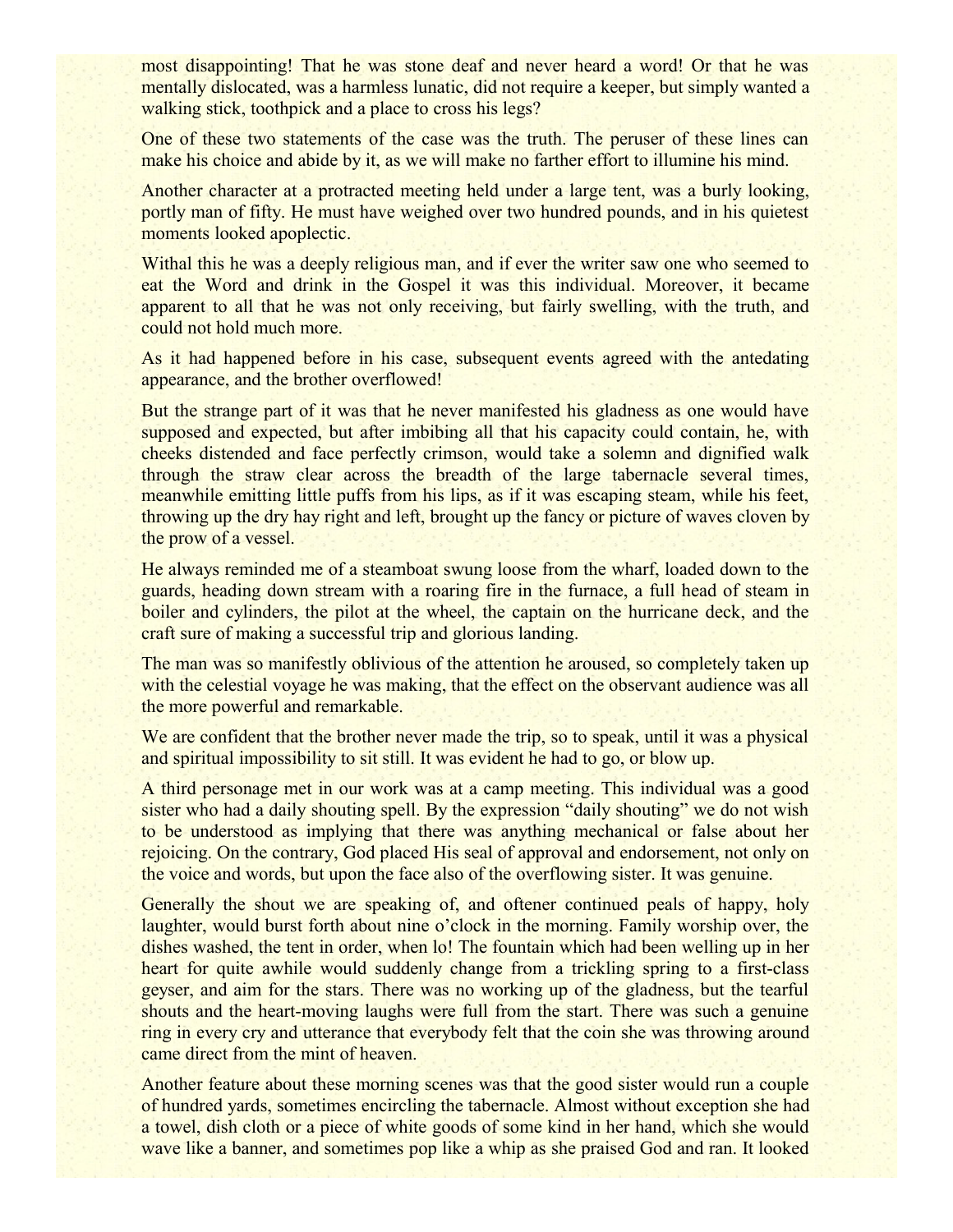most disappointing! That he was stone deaf and never heard a word! Or that he was mentally dislocated, was a harmless lunatic, did not require a keeper, but simply wanted a walking stick, toothpick and a place to cross his legs?

One of these two statements of the case was the truth. The peruser of these lines can make his choice and abide by it, as we will make no farther effort to illumine his mind.

Another character at a protracted meeting held under a large tent, was a burly looking, portly man of fifty. He must have weighed over two hundred pounds, and in his quietest moments looked apoplectic.

Withal this he was a deeply religious man, and if ever the writer saw one who seemed to eat the Word and drink in the Gospel it was this individual. Moreover, it became apparent to all that he was not only receiving, but fairly swelling, with the truth, and could not hold much more.

As it had happened before in his case, subsequent events agreed with the antedating appearance, and the brother overflowed!

But the strange part of it was that he never manifested his gladness as one would have supposed and expected, but after imbibing all that his capacity could contain, he, with cheeks distended and face perfectly crimson, would take a solemn and dignified walk through the straw clear across the breadth of the large tabernacle several times, meanwhile emitting little puffs from his lips, as if it was escaping steam, while his feet, throwing up the dry hay right and left, brought up the fancy or picture of waves cloven by the prow of a vessel.

He always reminded me of a steamboat swung loose from the wharf, loaded down to the guards, heading down stream with a roaring fire in the furnace, a full head of steam in boiler and cylinders, the pilot at the wheel, the captain on the hurricane deck, and the craft sure of making a successful trip and glorious landing.

The man was so manifestly oblivious of the attention he aroused, so completely taken up with the celestial voyage he was making, that the effect on the observant audience was all the more powerful and remarkable.

We are confident that the brother never made the trip, so to speak, until it was a physical and spiritual impossibility to sit still. It was evident he had to go, or blow up.

A third personage met in our work was at a camp meeting. This individual was a good sister who had a daily shouting spell. By the expression "daily shouting" we do not wish to be understood as implying that there was anything mechanical or false about her rejoicing. On the contrary, God placed His seal of approval and endorsement, not only on the voice and words, but upon the face also of the overflowing sister. It was genuine.

Generally the shout we are speaking of, and oftener continued peals of happy, holy laughter, would burst forth about nine o'clock in the morning. Family worship over, the dishes washed, the tent in order, when lo! The fountain which had been welling up in her heart for quite awhile would suddenly change from a trickling spring to a first-class geyser, and aim for the stars. There was no working up of the gladness, but the tearful shouts and the heart-moving laughs were full from the start. There was such a genuine ring in every cry and utterance that everybody felt that the coin she was throwing around came direct from the mint of heaven.

Another feature about these morning scenes was that the good sister would run a couple of hundred yards, sometimes encircling the tabernacle. Almost without exception she had a towel, dish cloth or a piece of white goods of some kind in her hand, which she would wave like a banner, and sometimes pop like a whip as she praised God and ran. It looked